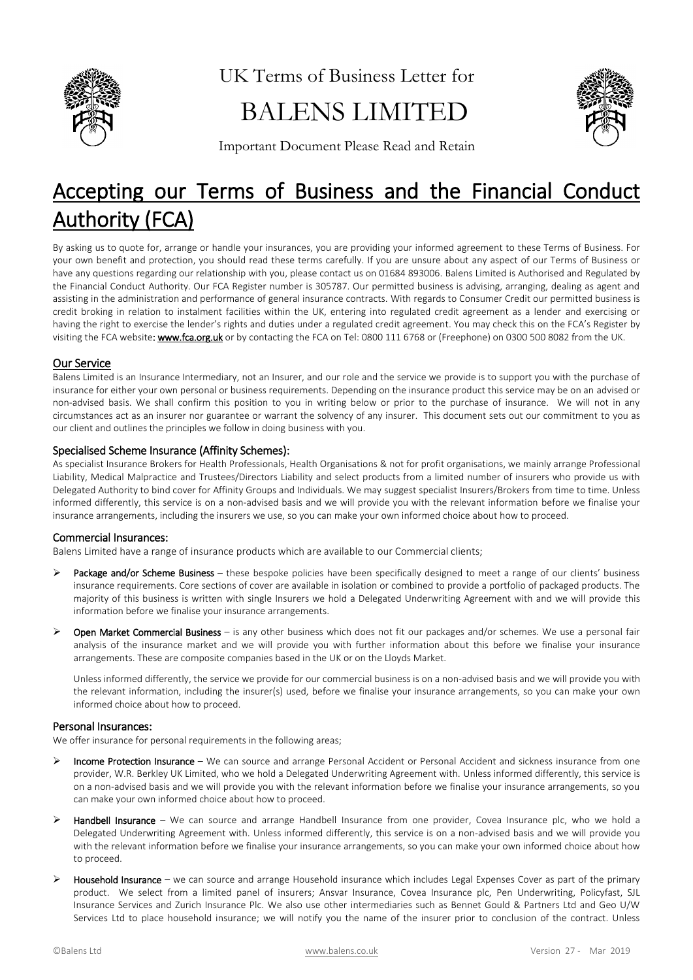

UK Terms of Business Letter for BALENS LIMITED



Important Document Please Read and Retain

# Accepting our Terms of Business and the Financial Conduct Authority (FCA)

By asking us to quote for, arrange or handle your insurances, you are providing your informed agreement to these Terms of Business. For your own benefit and protection, you should read these terms carefully. If you are unsure about any aspect of our Terms of Business or have any questions regarding our relationship with you, please contact us on 01684 893006. Balens Limited is Authorised and Regulated by the Financial Conduct Authority. Our FCA Register number is 305787. Our permitted business is advising, arranging, dealing as agent and assisting in the administration and performance of general insurance contracts. With regards to Consumer Credit our permitted business is credit broking in relation to instalment facilities within the UK, entering into regulated credit agreement as a lender and exercising or having the right to exercise the lender's rights and duties under a regulated credit agreement. You may check this on the FCA's Register by visiting the FCA website: **www.fca.org.uk** or by contacting the FCA on Tel: 0800 111 6768 or (Freephone) on 0300 500 8082 from the UK.

## Our Service

Balens Limited is an Insurance Intermediary, not an Insurer, and our role and the service we provide is to support you with the purchase of insurance for either your own personal or business requirements. Depending on the insurance product this service may be on an advised or non-advised basis. We shall confirm this position to you in writing below or prior to the purchase of insurance. We will not in any circumstances act as an insurer nor guarantee or warrant the solvency of any insurer. This document sets out our commitment to you as our client and outlines the principles we follow in doing business with you.

## Specialised Scheme Insurance (Affinity Schemes):

As specialist Insurance Brokers for Health Professionals, Health Organisations & not for profit organisations, we mainly arrange Professional Liability, Medical Malpractice and Trustees/Directors Liability and select products from a limited number of insurers who provide us with Delegated Authority to bind cover for Affinity Groups and Individuals. We may suggest specialist Insurers/Brokers from time to time. Unless informed differently, this service is on a non-advised basis and we will provide you with the relevant information before we finalise your insurance arrangements, including the insurers we use, so you can make your own informed choice about how to proceed.

## Commercial Insurances:

Balens Limited have a range of insurance products which are available to our Commercial clients;

- $\triangleright$  Package and/or Scheme Business these bespoke policies have been specifically designed to meet a range of our clients' business insurance requirements. Core sections of cover are available in isolation or combined to provide a portfolio of packaged products. The majority of this business is written with single Insurers we hold a Delegated Underwriting Agreement with and we will provide this information before we finalise your insurance arrangements.
- **Dpen Market Commercial Business** is any other business which does not fit our packages and/or schemes. We use a personal fair analysis of the insurance market and we will provide you with further information about this before we finalise your insurance arrangements. These are composite companies based in the UK or on the Lloyds Market.

Unless informed differently, the service we provide for our commercial business is on a non-advised basis and we will provide you with the relevant information, including the insurer(s) used, before we finalise your insurance arrangements, so you can make your own informed choice about how to proceed.

## Personal Insurances:

We offer insurance for personal requirements in the following areas;

- $\triangleright$  Income Protection Insurance We can source and arrange Personal Accident or Personal Accident and sickness insurance from one provider, W.R. Berkley UK Limited, who we hold a Delegated Underwriting Agreement with. Unless informed differently, this service is on a non-advised basis and we will provide you with the relevant information before we finalise your insurance arrangements, so you can make your own informed choice about how to proceed.
- > Handbell Insurance We can source and arrange Handbell Insurance from one provider, Covea Insurance plc, who we hold a Delegated Underwriting Agreement with. Unless informed differently, this service is on a non-advised basis and we will provide you with the relevant information before we finalise your insurance arrangements, so you can make your own informed choice about how to proceed.
- $\triangleright$  Household Insurance we can source and arrange Household insurance which includes Legal Expenses Cover as part of the primary product. We select from a limited panel of insurers; Ansvar Insurance, Covea Insurance plc, Pen Underwriting, Policyfast, SJL Insurance Services and Zurich Insurance Plc. We also use other intermediaries such as Bennet Gould & Partners Ltd and Geo U/W Services Ltd to place household insurance; we will notify you the name of the insurer prior to conclusion of the contract. Unless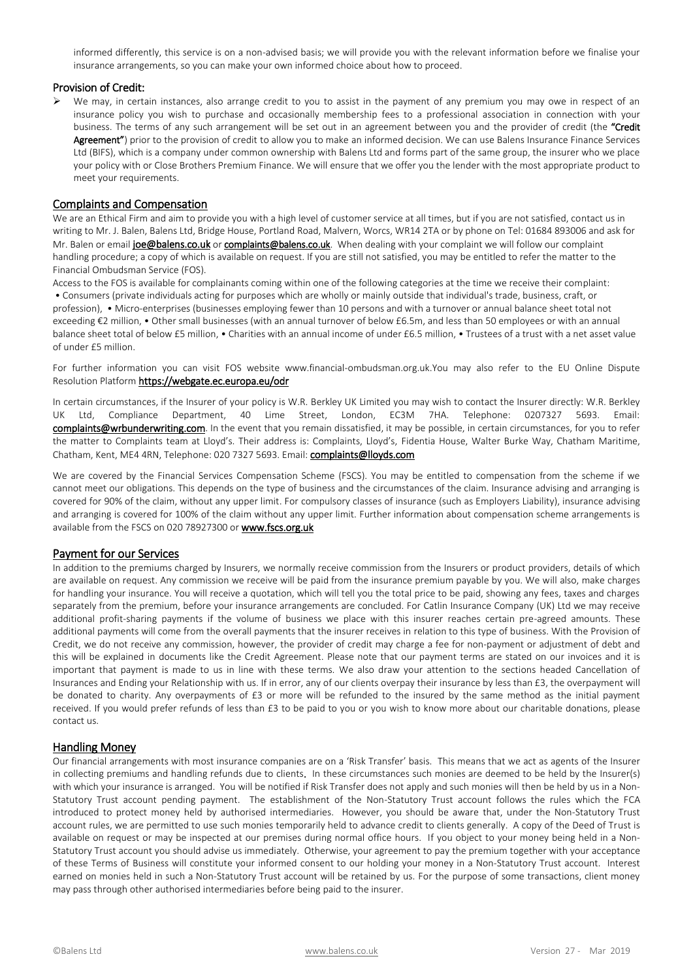informed differently, this service is on a non-advised basis; we will provide you with the relevant information before we finalise your insurance arrangements, so you can make your own informed choice about how to proceed.

#### Provision of Credit:

We may, in certain instances, also arrange credit to you to assist in the payment of any premium you may owe in respect of an insurance policy you wish to purchase and occasionally membership fees to a professional association in connection with your business. The terms of any such arrangement will be set out in an agreement between you and the provider of credit (the "Credit Agreement") prior to the provision of credit to allow you to make an informed decision. We can use Balens Insurance Finance Services Ltd (BIFS), which is a company under common ownership with Balens Ltd and forms part of the same group, the insurer who we place your policy with or Close Brothers Premium Finance. We will ensure that we offer you the lender with the most appropriate product to meet your requirements.

#### Complaints and Compensation

We are an Ethical Firm and aim to provide you with a high level of customer service at all times, but if you are not satisfied, contact us in writing to Mr. J. Balen, Balens Ltd, Bridge House, Portland Road, Malvern, Worcs, WR14 2TA or by phone on Tel: 01684 893006 and ask for Mr. Balen or email [joe@balens.co.uk](mailto:joe@balens.co.uk) or complaints@balens.co.uk. When dealing with your complaint we will follow our complaint handling procedure; a copy of which is available on request. If you are still not satisfied, you may be entitled to refer the matter to the Financial Ombudsman Service (FOS).

Access to the FOS is available for complainants coming within one of the following categories at the time we receive their complaint: • Consumers (private individuals acting for purposes which are wholly or mainly outside that individual's trade, business, craft, or

profession), • Micro-enterprises (businesses employing fewer than 10 persons and with a turnover or annual balance sheet total not exceeding €2 million, • Other small businesses (with an annual turnover of below £6.5m, and less than 50 employees or with an annual balance sheet total of below £5 million, • Charities with an annual income of under £6.5 million, • Trustees of a trust with a net asset value of under £5 million.

For further information you can visit FOS website www.financial-ombudsman.org.uk.You may also refer to the EU Online Dispute Resolution Platform <https://webgate.ec.europa.eu/odr>

In certain circumstances, if the Insurer of your policy is W.R. Berkley UK Limited you may wish to contact the Insurer directly: W.R. Berkley UK Ltd, Compliance Department, 40 Lime Street, London, EC3M 7HA. Telephone: 0207327 5693. Email: [complaints@wrbunderwriting.com](mailto:complaints@wrbunderwriting.com). In the event that you remain dissatisfied, it may be possible, in certain circumstances, for you to refer the matter to Complaints team at Lloyd's. Their address is: Complaints, Lloyd's, Fidentia House, Walter Burke Way, Chatham Maritime, Chatham, Kent, ME4 4RN, Telephone: 020 7327 5693. Email: [complaints@lloyds.com](mailto:complaints@lloyds.com)

We are covered by the Financial Services Compensation Scheme (FSCS). You may be entitled to compensation from the scheme if we cannot meet our obligations. This depends on the type of business and the circumstances of the claim. Insurance advising and arranging is covered for 90% of the claim, without any upper limit. For compulsory classes of insurance (such as Employers Liability), insurance advising and arranging is covered for 100% of the claim without any upper limit. Further information about compensation scheme arrangements is available from the FSCS on 020 78927300 or [www.fscs.org.uk](http://www.fscs.org.uk/)

#### Payment for our Services

In addition to the premiums charged by Insurers, we normally receive commission from the Insurers or product providers, details of which are available on request. Any commission we receive will be paid from the insurance premium payable by you. We will also, make charges for handling your insurance. You will receive a quotation, which will tell you the total price to be paid, showing any fees, taxes and charges separately from the premium, before your insurance arrangements are concluded. For Catlin Insurance Company (UK) Ltd we may receive additional profit-sharing payments if the volume of business we place with this insurer reaches certain pre-agreed amounts. These additional payments will come from the overall payments that the insurer receives in relation to this type of business. With the Provision of Credit, we do not receive any commission, however, the provider of credit may charge a fee for non-payment or adjustment of debt and this will be explained in documents like the Credit Agreement. Please note that our payment terms are stated on our invoices and it is important that payment is made to us in line with these terms. We also draw your attention to the sections headed Cancellation of Insurances and Ending your Relationship with us. If in error, any of our clients overpay their insurance by less than £3, the overpayment will be donated to charity. Any overpayments of £3 or more will be refunded to the insured by the same method as the initial payment received. If you would prefer refunds of less than £3 to be paid to you or you wish to know more about our charitable donations, please contact us.

## Handling Money

Our financial arrangements with most insurance companies are on a 'Risk Transfer' basis. This means that we act as agents of the Insurer in collecting premiums and handling refunds due to clients. In these circumstances such monies are deemed to be held by the Insurer(s) with which your insurance is arranged. You will be notified if Risk Transfer does not apply and such monies will then be held by us in a Non-Statutory Trust account pending payment. The establishment of the Non-Statutory Trust account follows the rules which the FCA introduced to protect money held by authorised intermediaries. However, you should be aware that, under the Non-Statutory Trust account rules, we are permitted to use such monies temporarily held to advance credit to clients generally. A copy of the Deed of Trust is available on request or may be inspected at our premises during normal office hours. If you object to your money being held in a Non-Statutory Trust account you should advise us immediately. Otherwise, your agreement to pay the premium together with your acceptance of these Terms of Business will constitute your informed consent to our holding your money in a Non-Statutory Trust account. Interest earned on monies held in such a Non-Statutory Trust account will be retained by us. For the purpose of some transactions, client money may pass through other authorised intermediaries before being paid to the insurer.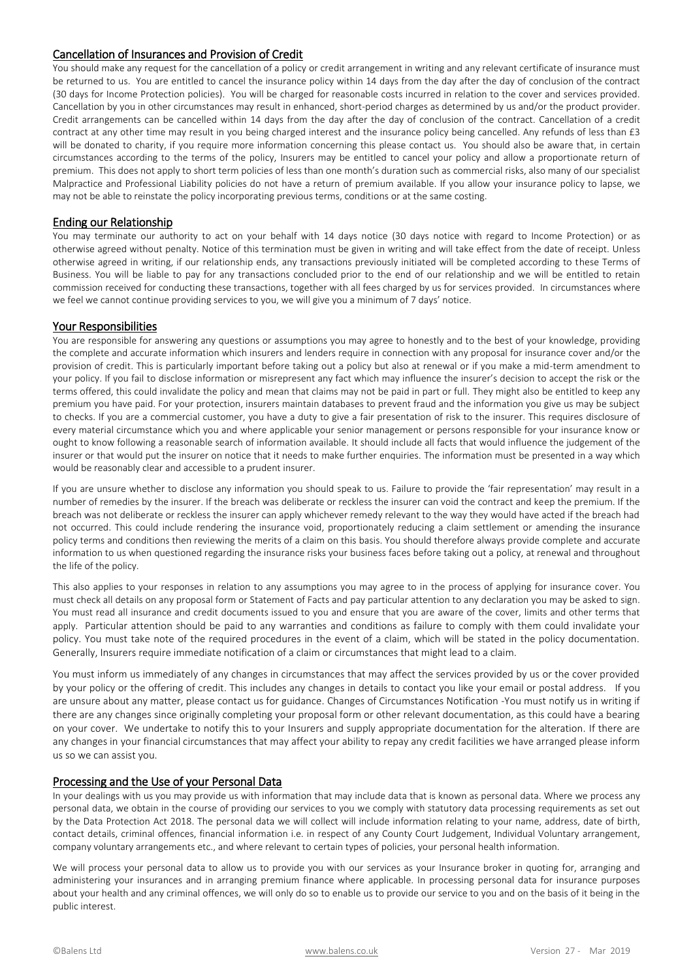## Cancellation of Insurances and Provision of Credit

You should make any request for the cancellation of a policy or credit arrangement in writing and any relevant certificate of insurance must be returned to us. You are entitled to cancel the insurance policy within 14 days from the day after the day of conclusion of the contract (30 days for Income Protection policies). You will be charged for reasonable costs incurred in relation to the cover and services provided. Cancellation by you in other circumstances may result in enhanced, short-period charges as determined by us and/or the product provider. Credit arrangements can be cancelled within 14 days from the day after the day of conclusion of the contract. Cancellation of a credit contract at any other time may result in you being charged interest and the insurance policy being cancelled. Any refunds of less than £3 will be donated to charity, if you require more information concerning this please contact us. You should also be aware that, in certain circumstances according to the terms of the policy, Insurers may be entitled to cancel your policy and allow a proportionate return of premium. This does not apply to short term policies of less than one month's duration such as commercial risks, also many of our specialist Malpractice and Professional Liability policies do not have a return of premium available. If you allow your insurance policy to lapse, we may not be able to reinstate the policy incorporating previous terms, conditions or at the same costing.

## Ending our Relationship

You may terminate our authority to act on your behalf with 14 days notice (30 days notice with regard to Income Protection) or as otherwise agreed without penalty. Notice of this termination must be given in writing and will take effect from the date of receipt. Unless otherwise agreed in writing, if our relationship ends, any transactions previously initiated will be completed according to these Terms of Business. You will be liable to pay for any transactions concluded prior to the end of our relationship and we will be entitled to retain commission received for conducting these transactions, together with all fees charged by us for services provided. In circumstances where we feel we cannot continue providing services to you, we will give you a minimum of 7 days' notice.

## Your Responsibilities

You are responsible for answering any questions or assumptions you may agree to honestly and to the best of your knowledge, providing the complete and accurate information which insurers and lenders require in connection with any proposal for insurance cover and/or the provision of credit. This is particularly important before taking out a policy but also at renewal or if you make a mid-term amendment to your policy. If you fail to disclose information or misrepresent any fact which may influence the insurer's decision to accept the risk or the terms offered, this could invalidate the policy and mean that claims may not be paid in part or full. They might also be entitled to keep any premium you have paid. For your protection, insurers maintain databases to prevent fraud and the information you give us may be subject to checks. If you are a commercial customer, you have a duty to give a fair presentation of risk to the insurer. This requires disclosure of every material circumstance which you and where applicable your senior management or persons responsible for your insurance know or ought to know following a reasonable search of information available. It should include all facts that would influence the judgement of the insurer or that would put the insurer on notice that it needs to make further enquiries. The information must be presented in a way which would be reasonably clear and accessible to a prudent insurer.

If you are unsure whether to disclose any information you should speak to us. Failure to provide the 'fair representation' may result in a number of remedies by the insurer. If the breach was deliberate or reckless the insurer can void the contract and keep the premium. If the breach was not deliberate or reckless the insurer can apply whichever remedy relevant to the way they would have acted if the breach had not occurred. This could include rendering the insurance void, proportionately reducing a claim settlement or amending the insurance policy terms and conditions then reviewing the merits of a claim on this basis. You should therefore always provide complete and accurate information to us when questioned regarding the insurance risks your business faces before taking out a policy, at renewal and throughout the life of the policy.

This also applies to your responses in relation to any assumptions you may agree to in the process of applying for insurance cover. You must check all details on any proposal form or Statement of Facts and pay particular attention to any declaration you may be asked to sign. You must read all insurance and credit documents issued to you and ensure that you are aware of the cover, limits and other terms that apply. Particular attention should be paid to any warranties and conditions as failure to comply with them could invalidate your policy. You must take note of the required procedures in the event of a claim, which will be stated in the policy documentation. Generally, Insurers require immediate notification of a claim or circumstances that might lead to a claim.

You must inform us immediately of any changes in circumstances that may affect the services provided by us or the cover provided by your policy or the offering of credit. This includes any changes in details to contact you like your email or postal address. If you are unsure about any matter, please contact us for guidance. Changes of Circumstances Notification -You must notify us in writing if there are any changes since originally completing your proposal form or other relevant documentation, as this could have a bearing on your cover. We undertake to notify this to your Insurers and supply appropriate documentation for the alteration. If there are any changes in your financial circumstances that may affect your ability to repay any credit facilities we have arranged please inform us so we can assist you.

## Processing and the Use of your Personal Data

In your dealings with us you may provide us with information that may include data that is known as personal data. Where we process any personal data, we obtain in the course of providing our services to you we comply with statutory data processing requirements as set out by the Data Protection Act 2018. The personal data we will collect will include information relating to your name, address, date of birth, contact details, criminal offences, financial information i.e. in respect of any County Court Judgement, Individual Voluntary arrangement, company voluntary arrangements etc., and where relevant to certain types of policies, your personal health information.

We will process your personal data to allow us to provide you with our services as your Insurance broker in quoting for, arranging and administering your insurances and in arranging premium finance where applicable. In processing personal data for insurance purposes about your health and any criminal offences, we will only do so to enable us to provide our service to you and on the basis of it being in the public interest.